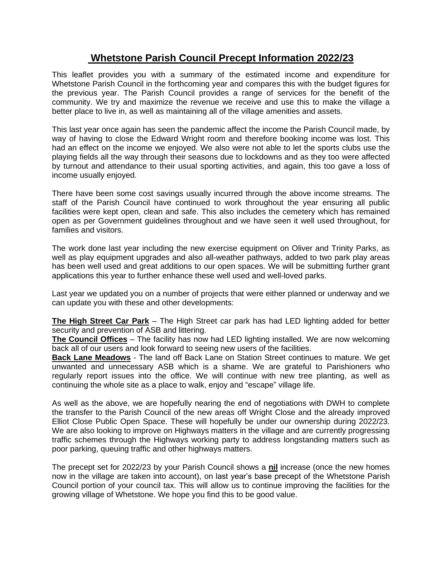## **Whetstone Parish Council Precept Information 2022/23**

This leaflet provides you with a summary of the estimated income and expenditure for Whetstone Parish Council in the forthcoming year and compares this with the budget figures for the previous year. The Parish Council provides a range of services for the benefit of the community. We try and maximize the revenue we receive and use this to make the village a better place to live in, as well as maintaining all of the village amenities and assets.

This last year once again has seen the pandemic affect the income the Parish Council made, by way of having to close the Edward Wright room and therefore booking income was lost. This had an effect on the income we enjoyed. We also were not able to let the sports clubs use the playing fields all the way through their seasons due to lockdowns and as they too were affected by turnout and attendance to their usual sporting activities, and again, this too gave a loss of income usually enjoyed.

There have been some cost savings usually incurred through the above income streams. The staff of the Parish Council have continued to work throughout the year ensuring all public facilities were kept open, clean and safe. This also includes the cemetery which has remained open as per Government guidelines throughout and we have seen it well used throughout, for families and visitors.

The work done last year including the new exercise equipment on Oliver and Trinity Parks, as well as play equipment upgrades and also all-weather pathways, added to two park play areas has been well used and great additions to our open spaces. We will be submitting further grant applications this year to further enhance these well used and well-loved parks.

Last year we updated you on a number of projects that were either planned or underway and we can update you with these and other developments:

**The High Street Car Park** – The High Street car park has had LED lighting added for better security and prevention of ASB and littering.

**The Council Offices** – The facility has now had LED lighting installed. We are now welcoming back all of our users and look forward to seeing new users of the facilities.

**Back Lane Meadows** - The land off Back Lane on Station Street continues to mature. We get unwanted and unnecessary ASB which is a shame. We are grateful to Parishioners who regularly report issues into the office. We will continue with new tree planting, as well as continuing the whole site as a place to walk, enjoy and "escape" village life.

As well as the above, we are hopefully nearing the end of negotiations with DWH to complete the transfer to the Parish Council of the new areas off Wright Close and the already improved Elliot Close Public Open Space. These will hopefully be under our ownership during 2022/23. We are also looking to improve on Highways matters in the village and are currently progressing traffic schemes through the Highways working party to address longstanding matters such as poor parking, queuing traffic and other highways matters.

The precept set for 2022/23 by your Parish Council shows a **nil** increase (once the new homes now in the village are taken into account), on last year's base precept of the Whetstone Parish Council portion of your council tax. This will allow us to continue improving the facilities for the growing village of Whetstone. We hope you find this to be good value.